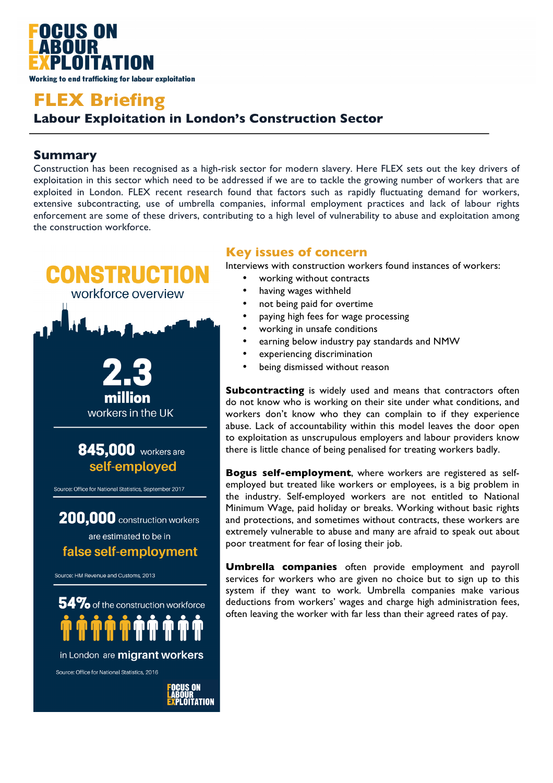

# **FLEX Briefing Labour Exploitation in London's Construction Sector**

## **Summary**

Construction has been recognised as a high-risk sector for modern slavery. Here FLEX sets out the key drivers of exploitation in this sector which need to be addressed if we are to tackle the growing number of workers that are exploited in London. FLEX recent research found that factors such as rapidly fluctuating demand for workers, extensive subcontracting, use of umbrella companies, informal employment practices and lack of labour rights enforcement are some of these drivers, contributing to a high level of vulnerability to abuse and exploitation among the construction workforce.



LABOUR<br><mark>Ex</mark>ploitation

## **Key issues of concern**

Interviews with construction workers found instances of workers:

- working without contracts
- having wages withheld
- not being paid for overtime
- paying high fees for wage processing
- working in unsafe conditions
- earning below industry pay standards and NMW
- experiencing discrimination
- being dismissed without reason

**Subcontracting** is widely used and means that contractors often do not know who is working on their site under what conditions, and workers don't know who they can complain to if they experience abuse. Lack of accountability within this model leaves the door open to exploitation as unscrupulous employers and labour providers know there is little chance of being penalised for treating workers badly.

**Bogus self-employment**, where workers are registered as selfemployed but treated like workers or employees, is a big problem in the industry. Self-employed workers are not entitled to National Minimum Wage, paid holiday or breaks. Working without basic rights and protections, and sometimes without contracts, these workers are extremely vulnerable to abuse and many are afraid to speak out about poor treatment for fear of losing their job.

**Umbrella companies** often provide employment and payroll services for workers who are given no choice but to sign up to this system if they want to work. Umbrella companies make various deductions from workers' wages and charge high administration fees, often leaving the worker with far less than their agreed rates of pay.